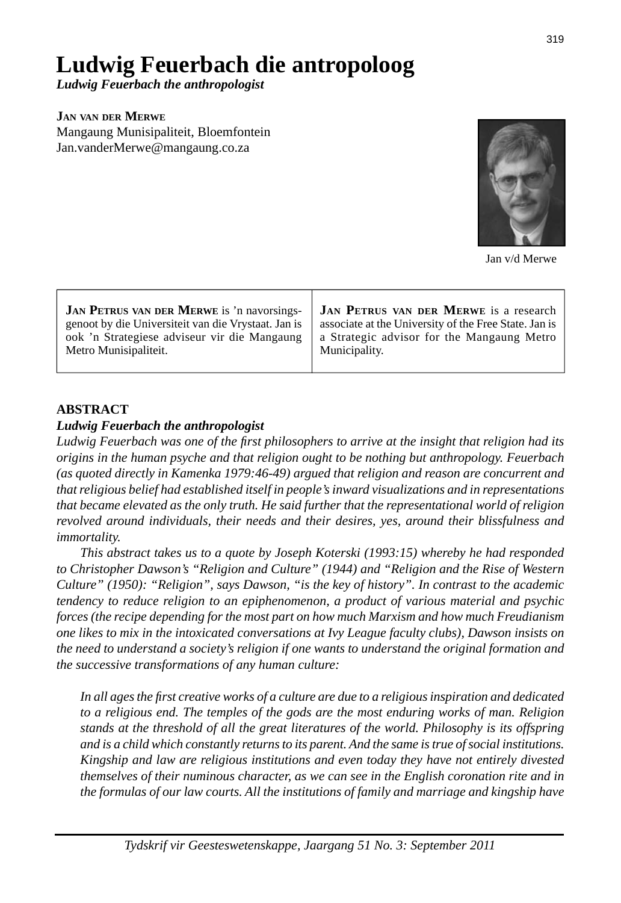# **Ludwig Feuerbach die antropoloog**

*Ludwig Feuerbach the anthropologist*

**JAN VAN DER MERWE**

Mangaung Munisipaliteit, Bloemfontein Jan.vanderMerwe@mangaung.co.za



Jan v/d Merwe

### **ABSTRACT**

#### *Ludwig Feuerbach the anthropologist*

Ludwig Feuerbach was one of the first philosophers to arrive at the insight that religion had its *origins in the human psyche and that religion ought to be nothing but anthropology. Feuerbach (as quoted directly in Kamenka 1979:46-49) argued that religion and reason are concurrent and that religious belief had established itself in people's inward visualizations and in representations that became elevated as the only truth. He said further that the representational world of religion revolved around individuals, their needs and their desires, yes, around their blissfulness and immortality.* 

 *This abstract takes us to a quote by Joseph Koterski (1993:15) whereby he had responded to Christopher Dawson's "Religion and Culture" (1944) and "Religion and the Rise of Western Culture" (1950): "Religion", says Dawson, "is the key of history". In contrast to the academic tendency to reduce religion to an epiphenomenon, a product of various material and psychic forces (the recipe depending for the most part on how much Marxism and how much Freudianism one likes to mix in the intoxicated conversations at Ivy League faculty clubs), Dawson insists on the need to understand a society's religion if one wants to understand the original formation and the successive transformations of any human culture:*

 *In all ages the fi rst creative works of a culture are due to a religious inspiration and dedicated to a religious end. The temples of the gods are the most enduring works of man. Religion stands at the threshold of all the great literatures of the world. Philosophy is its offspring and is a child which constantly returns to its parent. And the same is true of social institutions. Kingship and law are religious institutions and even today they have not entirely divested themselves of their numinous character, as we can see in the English coronation rite and in the formulas of our law courts. All the institutions of family and marriage and kingship have*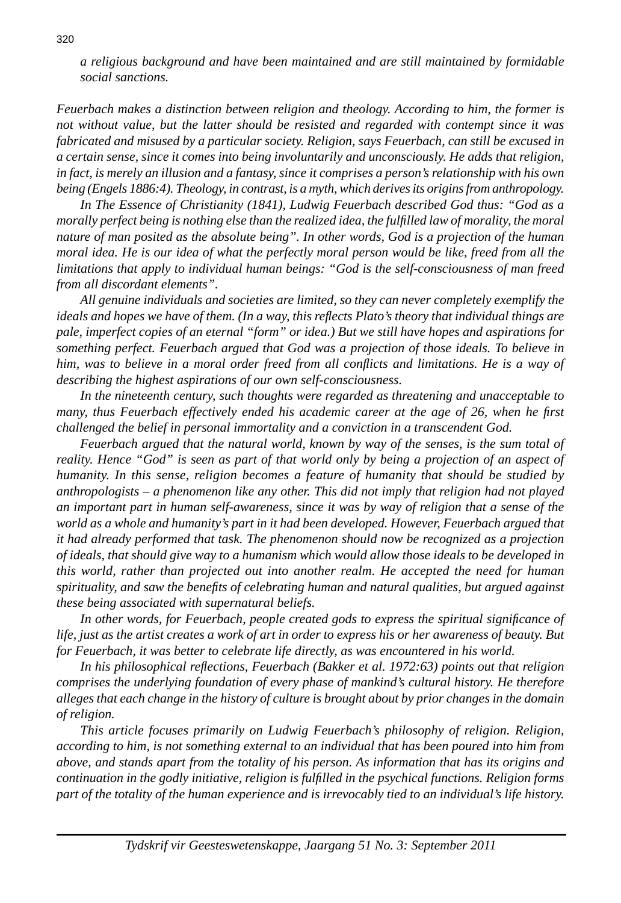*a religious background and have been maintained and are still maintained by formidable social sanctions.*

*Feuerbach makes a distinction between religion and theology. According to him, the former is not without value, but the latter should be resisted and regarded with contempt since it was fabricated and misused by a particular society. Religion, says Feuerbach, can still be excused in a certain sense, since it comes into being involuntarily and unconsciously. He adds that religion, in fact, is merely an illusion and a fantasy, since it comprises a person's relationship with his own being (Engels 1886:4). Theology, in contrast, is a myth, which derives its origins from anthropology.*

 *In The Essence of Christianity (1841), Ludwig Feuerbach described God thus: "God as a morally perfect being is nothing else than the realized idea, the fulfi lled law of morality, the moral nature of man posited as the absolute being". In other words, God is a projection of the human moral idea. He is our idea of what the perfectly moral person would be like, freed from all the limitations that apply to individual human beings: "God is the self-consciousness of man freed from all discordant elements".*

 *All genuine individuals and societies are limited, so they can never completely exemplify the*  ideals and hopes we have of them. (In a way, this reflects Plato's theory that individual things are *pale, imperfect copies of an eternal "form" or idea.) But we still have hopes and aspirations for something perfect. Feuerbach argued that God was a projection of those ideals. To believe in him, was to believe in a moral order freed from all conflicts and limitations. He is a way of describing the highest aspirations of our own self-consciousness.*

 *In the nineteenth century, such thoughts were regarded as threatening and unacceptable to many, thus Feuerbach effectively ended his academic career at the age of 26, when he first challenged the belief in personal immortality and a conviction in a transcendent God.*

 *Feuerbach argued that the natural world, known by way of the senses, is the sum total of reality. Hence "God" is seen as part of that world only by being a projection of an aspect of humanity. In this sense, religion becomes a feature of humanity that should be studied by anthropologists – a phenomenon like any other. This did not imply that religion had not played an important part in human self-awareness, since it was by way of religion that a sense of the world as a whole and humanity's part in it had been developed. However, Feuerbach argued that it had already performed that task. The phenomenon should now be recognized as a projection of ideals, that should give way to a humanism which would allow those ideals to be developed in this world, rather than projected out into another realm. He accepted the need for human spirituality, and saw the benefi ts of celebrating human and natural qualities, but argued against these being associated with supernatural beliefs.*

 *In other words, for Feuerbach, people created gods to express the spiritual signifi cance of life, just as the artist creates a work of art in order to express his or her awareness of beauty. But for Feuerbach, it was better to celebrate life directly, as was encountered in his world.*

 *In his philosophical refl ections, Feuerbach (Bakker et al. 1972:63) points out that religion comprises the underlying foundation of every phase of mankind's cultural history. He therefore alleges that each change in the history of culture is brought about by prior changes in the domain of religion.* 

 *This article focuses primarily on Ludwig Feuerbach's philosophy of religion. Religion, according to him, is not something external to an individual that has been poured into him from above, and stands apart from the totality of his person. As information that has its origins and continuation in the godly initiative, religion is fulfi lled in the psychical functions. Religion forms part of the totality of the human experience and is irrevocably tied to an individual's life history.*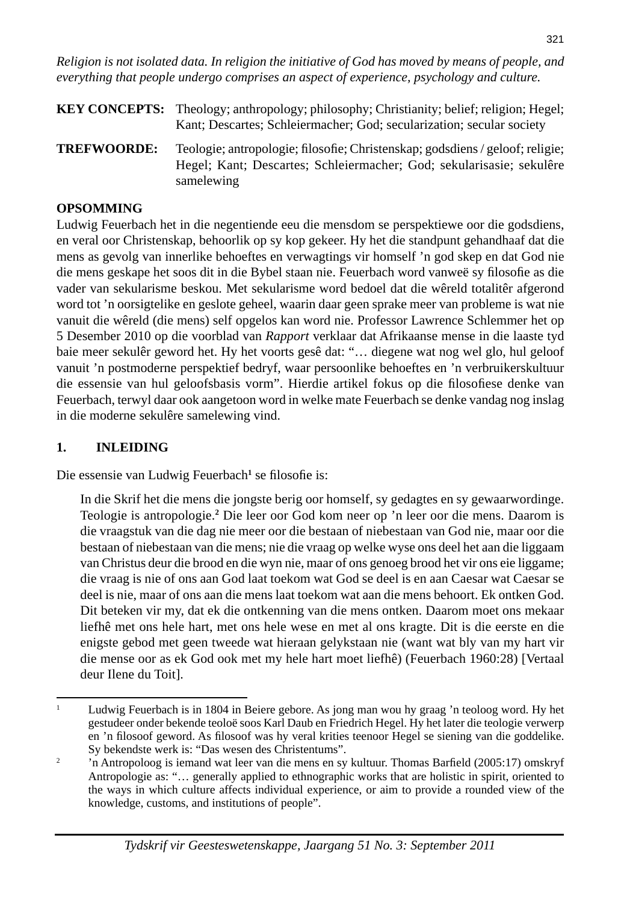*Religion is not isolated data. In religion the initiative of God has moved by means of people, and everything that people undergo comprises an aspect of experience, psychology and culture.*

- **KEY CONCEPTS:** Theology; anthropology; philosophy; Christianity; belief; religion; Hegel; Kant; Descartes; Schleiermacher; God; secularization; secular society
- **TREFWOORDE:** Teologie; antropologie; filosofie; Christenskap; godsdiens / geloof; religie; Hegel; Kant; Descartes; Schleiermacher; God; sekularisasie; sekulêre samelewing

## **OPSOMMING**

Ludwig Feuerbach het in die negentiende eeu die mensdom se perspektiewe oor die godsdiens, en veral oor Christenskap, behoorlik op sy kop gekeer. Hy het die standpunt gehandhaaf dat die mens as gevolg van innerlike behoeftes en verwagtings vir homself 'n god skep en dat God nie die mens geskape het soos dit in die Bybel staan nie. Feuerbach word vanweë sy filosofie as die vader van sekularisme beskou. Met sekularisme word bedoel dat die wêreld totalitêr afgerond word tot 'n oorsigtelike en geslote geheel, waarin daar geen sprake meer van probleme is wat nie vanuit die wêreld (die mens) self opgelos kan word nie. Professor Lawrence Schlemmer het op 5 Desember 2010 op die voorblad van *Rapport* verklaar dat Afrikaanse mense in die laaste tyd baie meer sekulêr geword het. Hy het voorts gesê dat: "… diegene wat nog wel glo, hul geloof vanuit 'n postmoderne perspektief bedryf, waar persoonlike behoeftes en 'n verbruikerskultuur die essensie van hul geloofsbasis vorm". Hierdie artikel fokus op die filosofiese denke van Feuerbach, terwyl daar ook aangetoon word in welke mate Feuerbach se denke vandag nog inslag in die moderne sekulêre samelewing vind.

# **1. INLEIDING**

Die essensie van Ludwig Feuerbach<sup>1</sup> se filosofie is:

 In die Skrif het die mens die jongste berig oor homself, sy gedagtes en sy gewaarwordinge. Teologie is antropologie.**<sup>2</sup>** Die leer oor God kom neer op 'n leer oor die mens. Daarom is die vraagstuk van die dag nie meer oor die bestaan of niebestaan van God nie, maar oor die bestaan of niebestaan van die mens; nie die vraag op welke wyse ons deel het aan die liggaam van Christus deur die brood en die wyn nie, maar of ons genoeg brood het vir ons eie liggame; die vraag is nie of ons aan God laat toekom wat God se deel is en aan Caesar wat Caesar se deel is nie, maar of ons aan die mens laat toekom wat aan die mens behoort. Ek ontken God. Dit beteken vir my, dat ek die ontkenning van die mens ontken. Daarom moet ons mekaar liefhê met ons hele hart, met ons hele wese en met al ons kragte. Dit is die eerste en die enigste gebod met geen tweede wat hieraan gelykstaan nie (want wat bly van my hart vir die mense oor as ek God ook met my hele hart moet liefhê) (Feuerbach 1960:28) [Vertaal deur Ilene du Toit].

<sup>1</sup> Ludwig Feuerbach is in 1804 in Beiere gebore. As jong man wou hy graag 'n teoloog word. Hy het gestudeer onder bekende teoloë soos Karl Daub en Friedrich Hegel. Hy het later die teologie verwerp en 'n filosoof geword. As filosoof was hy veral krities teenoor Hegel se siening van die goddelike. Sy bekendste werk is: "Das wesen des Christentums".

<sup>2</sup> 'n Antropoloog is iemand wat leer van die mens en sy kultuur. Thomas Barfield (2005:17) omskryf Antropologie as: "… generally applied to ethnographic works that are holistic in spirit, oriented to the ways in which culture affects individual experience, or aim to provide a rounded view of the knowledge, customs, and institutions of people".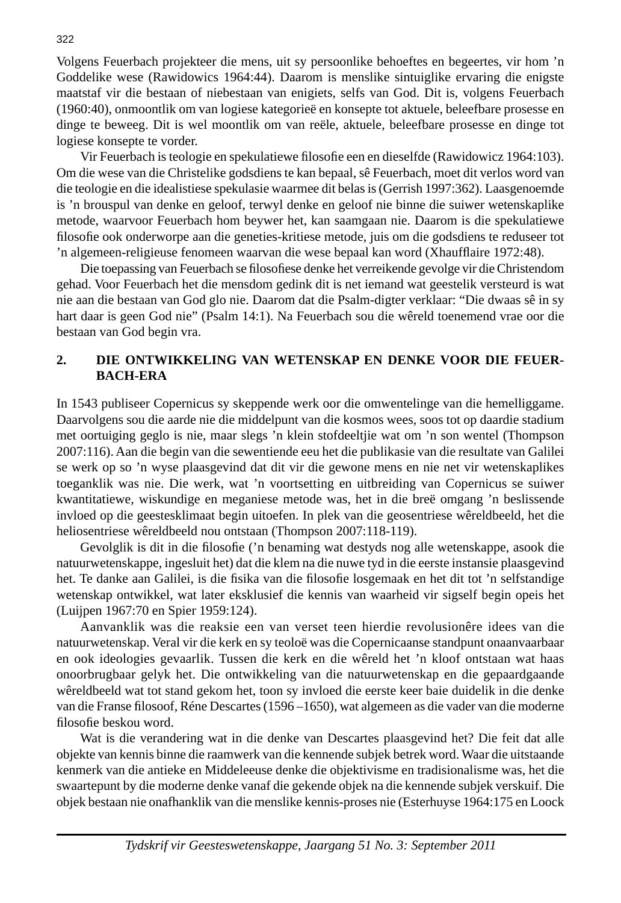Volgens Feuerbach projekteer die mens, uit sy persoonlike behoeftes en begeertes, vir hom 'n Goddelike wese (Rawidowics 1964:44). Daarom is menslike sintuiglike ervaring die enigste maatstaf vir die bestaan of niebestaan van enigiets, selfs van God. Dit is, volgens Feuerbach (1960:40), onmoontlik om van logiese kategorieë en konsepte tot aktuele, beleefbare prosesse en dinge te beweeg. Dit is wel moontlik om van reële, aktuele, beleefbare prosesse en dinge tot logiese konsepte te vorder.

Vir Feuerbach is teologie en spekulatiewe filosofie een en dieselfde (Rawidowicz 1964:103). Om die wese van die Christelike godsdiens te kan bepaal, sê Feuerbach, moet dit verlos word van die teologie en die idealistiese spekulasie waarmee dit belas is (Gerrish 1997:362). Laasgenoemde is 'n brouspul van denke en geloof, terwyl denke en geloof nie binne die suiwer wetenskaplike metode, waarvoor Feuerbach hom beywer het, kan saamgaan nie. Daarom is die spekulatiewe filosofie ook onderworpe aan die geneties-kritiese metode, juis om die godsdiens te reduseer tot 'n algemeen-religieuse fenomeen waarvan die wese bepaal kan word (Xhaufflaire 1972:48).

Die toepassing van Feuerbach se filosofiese denke het verreikende gevolge vir die Christendom gehad. Voor Feuerbach het die mensdom gedink dit is net iemand wat geestelik versteurd is wat nie aan die bestaan van God glo nie. Daarom dat die Psalm-digter verklaar: "Die dwaas sê in sy hart daar is geen God nie" (Psalm 14:1). Na Feuerbach sou die wêreld toenemend vrae oor die bestaan van God begin vra.

## **2. DIE ONTWIKKELING VAN WETENSKAP EN DENKE VOOR DIE FEUER-BACH-ERA**

In 1543 publiseer Copernicus sy skeppende werk oor die omwentelinge van die hemelliggame. Daarvolgens sou die aarde nie die middelpunt van die kosmos wees, soos tot op daardie stadium met oortuiging geglo is nie, maar slegs 'n klein stofdeeltjie wat om 'n son wentel (Thompson 2007:116). Aan die begin van die sewentiende eeu het die publikasie van die resultate van Galilei se werk op so 'n wyse plaasgevind dat dit vir die gewone mens en nie net vir wetenskaplikes toeganklik was nie. Die werk, wat 'n voortsetting en uitbreiding van Copernicus se suiwer kwantitatiewe, wiskundige en meganiese metode was, het in die breë omgang 'n beslissende invloed op die geestesklimaat begin uitoefen. In plek van die geosentriese wêreldbeeld, het die heliosentriese wêreldbeeld nou ontstaan (Thompson 2007:118-119).

Gevolglik is dit in die filosofie ('n benaming wat destyds nog alle wetenskappe, asook die natuurwetenskappe, ingesluit het) dat die klem na die nuwe tyd in die eerste instansie plaasgevind het. Te danke aan Galilei, is die fisika van die filosofie losgemaak en het dit tot 'n selfstandige wetenskap ontwikkel, wat later eksklusief die kennis van waarheid vir sigself begin opeis het (Luijpen 1967:70 en Spier 1959:124).

 Aanvanklik was die reaksie een van verset teen hierdie revolusionêre idees van die natuurwetenskap. Veral vir die kerk en sy teoloë was die Copernicaanse standpunt onaanvaarbaar en ook ideologies gevaarlik. Tussen die kerk en die wêreld het 'n kloof ontstaan wat haas onoorbrugbaar gelyk het. Die ontwikkeling van die natuurwetenskap en die gepaardgaande wêreldbeeld wat tot stand gekom het, toon sy invloed die eerste keer baie duidelik in die denke van die Franse filosoof, Réne Descartes (1596 – 1650), wat algemeen as die vader van die moderne filosofie beskou word.

 Wat is die verandering wat in die denke van Descartes plaasgevind het? Die feit dat alle objekte van kennis binne die raamwerk van die kennende subjek betrek word. Waar die uitstaande kenmerk van die antieke en Middeleeuse denke die objektivisme en tradisionalisme was, het die swaartepunt by die moderne denke vanaf die gekende objek na die kennende subjek verskuif. Die objek bestaan nie onafhanklik van die menslike kennis-proses nie (Esterhuyse 1964:175 en Loock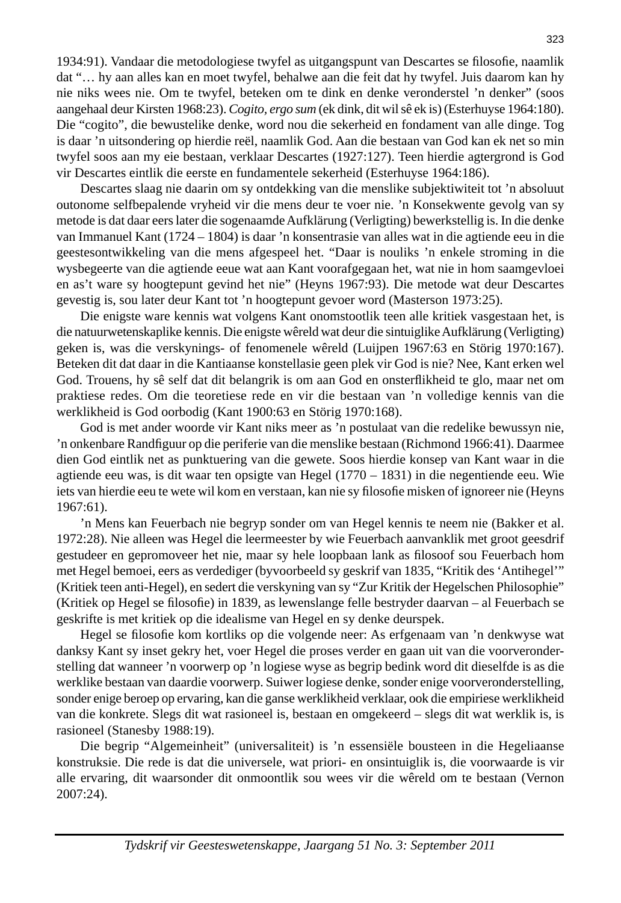1934:91). Vandaar die metodologiese twyfel as uitgangspunt van Descartes se filosofie, naamlik dat "… hy aan alles kan en moet twyfel, behalwe aan die feit dat hy twyfel. Juis daarom kan hy nie niks wees nie. Om te twyfel, beteken om te dink en denke veronderstel 'n denker" (soos aangehaal deur Kirsten 1968:23). *Cogito, ergo sum* (ek dink, dit wil sê ek is) (Esterhuyse 1964:180). Die "cogito", die bewustelike denke, word nou die sekerheid en fondament van alle dinge. Tog is daar 'n uitsondering op hierdie reël, naamlik God. Aan die bestaan van God kan ek net so min twyfel soos aan my eie bestaan, verklaar Descartes (1927:127). Teen hierdie agtergrond is God vir Descartes eintlik die eerste en fundamentele sekerheid (Esterhuyse 1964:186).

 Descartes slaag nie daarin om sy ontdekking van die menslike subjektiwiteit tot 'n absoluut outonome selfbepalende vryheid vir die mens deur te voer nie. 'n Konsekwente gevolg van sy metode is dat daar eers later die sogenaamde Aufklärung (Verligting) bewerkstellig is. In die denke van Immanuel Kant (1724 – 1804) is daar 'n konsentrasie van alles wat in die agtiende eeu in die geestesontwikkeling van die mens afgespeel het. "Daar is nouliks 'n enkele stroming in die wysbegeerte van die agtiende eeue wat aan Kant voorafgegaan het, wat nie in hom saamgevloei en as't ware sy hoogtepunt gevind het nie" (Heyns 1967:93). Die metode wat deur Descartes gevestig is, sou later deur Kant tot 'n hoogtepunt gevoer word (Masterson 1973:25).

 Die enigste ware kennis wat volgens Kant onomstootlik teen alle kritiek vasgestaan het, is die natuurwetenskaplike kennis. Die enigste wêreld wat deur die sintuiglike Aufklärung (Verligting) geken is, was die verskynings- of fenomenele wêreld (Luijpen 1967:63 en Störig 1970:167). Beteken dit dat daar in die Kantiaanse konstellasie geen plek vir God is nie? Nee, Kant erken wel God. Trouens, hy sê self dat dit belangrik is om aan God en onsterflikheid te glo, maar net om praktiese redes. Om die teoretiese rede en vir die bestaan van 'n volledige kennis van die werklikheid is God oorbodig (Kant 1900:63 en Störig 1970:168).

 God is met ander woorde vir Kant niks meer as 'n postulaat van die redelike bewussyn nie, 'n onkenbare Randfiguur op die periferie van die menslike bestaan (Richmond 1966:41). Daarmee dien God eintlik net as punktuering van die gewete. Soos hierdie konsep van Kant waar in die agtiende eeu was, is dit waar ten opsigte van Hegel (1770 – 1831) in die negentiende eeu. Wie iets van hierdie eeu te wete wil kom en verstaan, kan nie sy filosofie misken of ignoreer nie (Heyns 1967:61).

 'n Mens kan Feuerbach nie begryp sonder om van Hegel kennis te neem nie (Bakker et al. 1972:28). Nie alleen was Hegel die leermeester by wie Feuerbach aanvanklik met groot geesdrif gestudeer en gepromoveer het nie, maar sy hele loopbaan lank as filosoof sou Feuerbach hom met Hegel bemoei, eers as verdediger (byvoorbeeld sy geskrif van 1835, "Kritik des 'Antihegel'" (Kritiek teen anti-Hegel), en sedert die verskyning van sy "Zur Kritik der Hegelschen Philosophie" (Kritiek op Hegel se filosofie) in 1839, as lewenslange felle bestryder daarvan – al Feuerbach se geskrifte is met kritiek op die idealisme van Hegel en sy denke deurspek.

Hegel se filosofie kom kortliks op die volgende neer: As erfgenaam van 'n denkwyse wat danksy Kant sy inset gekry het, voer Hegel die proses verder en gaan uit van die voorveronderstelling dat wanneer 'n voorwerp op 'n logiese wyse as begrip bedink word dit dieselfde is as die werklike bestaan van daardie voorwerp. Suiwer logiese denke, sonder enige voorveronderstelling, sonder enige beroep op ervaring, kan die ganse werklikheid verklaar, ook die empiriese werklikheid van die konkrete. Slegs dit wat rasioneel is, bestaan en omgekeerd – slegs dit wat werklik is, is rasioneel (Stanesby 1988:19).

 Die begrip "Algemeinheit" (universaliteit) is 'n essensiële bousteen in die Hegeliaanse konstruksie. Die rede is dat die universele, wat priori- en onsintuiglik is, die voorwaarde is vir alle ervaring, dit waarsonder dit onmoontlik sou wees vir die wêreld om te bestaan (Vernon 2007:24).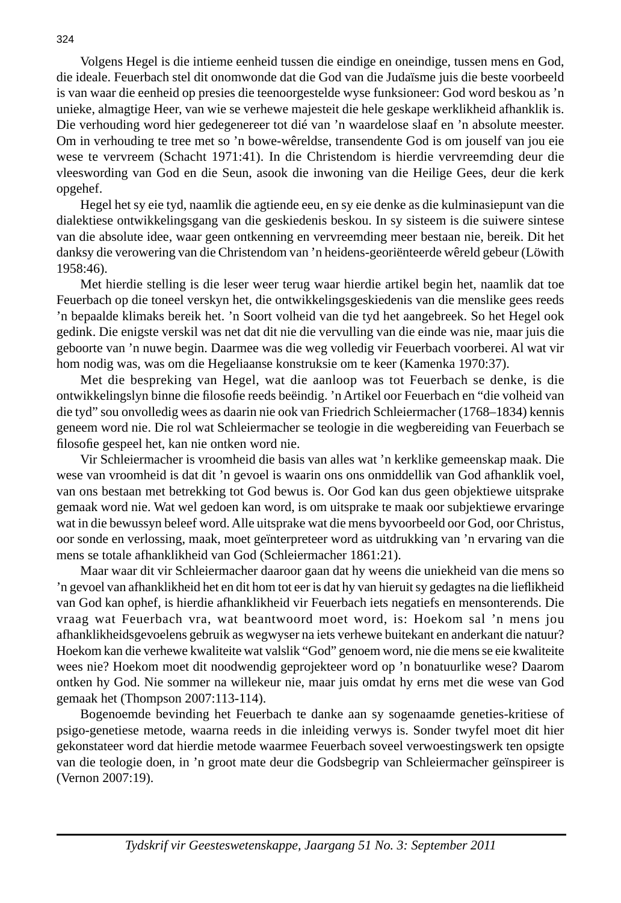Volgens Hegel is die intieme eenheid tussen die eindige en oneindige, tussen mens en God, die ideale. Feuerbach stel dit onomwonde dat die God van die Judaïsme juis die beste voorbeeld is van waar die eenheid op presies die teenoorgestelde wyse funksioneer: God word beskou as 'n unieke, almagtige Heer, van wie se verhewe majesteit die hele geskape werklikheid afhanklik is. Die verhouding word hier gedegenereer tot dié van 'n waardelose slaaf en 'n absolute meester. Om in verhouding te tree met so 'n bowe-wêreldse, transendente God is om jouself van jou eie wese te vervreem (Schacht 1971:41). In die Christendom is hierdie vervreemding deur die vleeswording van God en die Seun, asook die inwoning van die Heilige Gees, deur die kerk opgehef.

 Hegel het sy eie tyd, naamlik die agtiende eeu, en sy eie denke as die kulminasiepunt van die dialektiese ontwikkelingsgang van die geskiedenis beskou. In sy sisteem is die suiwere sintese van die absolute idee, waar geen ontkenning en vervreemding meer bestaan nie, bereik. Dit het danksy die verowering van die Christendom van 'n heidens-georiënteerde wêreld gebeur (Löwith 1958:46).

 Met hierdie stelling is die leser weer terug waar hierdie artikel begin het, naamlik dat toe Feuerbach op die toneel verskyn het, die ontwikkelingsgeskiedenis van die menslike gees reeds 'n bepaalde klimaks bereik het. 'n Soort volheid van die tyd het aangebreek. So het Hegel ook gedink. Die enigste verskil was net dat dit nie die vervulling van die einde was nie, maar juis die geboorte van 'n nuwe begin. Daarmee was die weg volledig vir Feuerbach voorberei. Al wat vir hom nodig was, was om die Hegeliaanse konstruksie om te keer (Kamenka 1970:37).

 Met die bespreking van Hegel, wat die aanloop was tot Feuerbach se denke, is die ontwikkelingslyn binne die filosofie reeds beëindig. 'n Artikel oor Feuerbach en "die volheid van die tyd" sou onvolledig wees as daarin nie ook van Friedrich Schleiermacher (1768–1834) kennis geneem word nie. Die rol wat Schleiermacher se teologie in die wegbereiding van Feuerbach se filosofie gespeel het, kan nie ontken word nie.

 Vir Schleiermacher is vroomheid die basis van alles wat 'n kerklike gemeenskap maak. Die wese van vroomheid is dat dit 'n gevoel is waarin ons ons onmiddellik van God afhanklik voel, van ons bestaan met betrekking tot God bewus is. Oor God kan dus geen objektiewe uitsprake gemaak word nie. Wat wel gedoen kan word, is om uitsprake te maak oor subjektiewe ervaringe wat in die bewussyn beleef word. Alle uitsprake wat die mens byvoorbeeld oor God, oor Christus, oor sonde en verlossing, maak, moet geïnterpreteer word as uitdrukking van 'n ervaring van die mens se totale afhanklikheid van God (Schleiermacher 1861:21).

 Maar waar dit vir Schleiermacher daaroor gaan dat hy weens die uniekheid van die mens so 'n gevoel van afhanklikheid het en dit hom tot eer is dat hy van hieruit sy gedagtes na die lieflikheid van God kan ophef, is hierdie afhanklikheid vir Feuerbach iets negatiefs en mensonterends. Die vraag wat Feuerbach vra, wat beantwoord moet word, is: Hoekom sal 'n mens jou afhanklikheidsgevoelens gebruik as wegwyser na iets verhewe buitekant en anderkant die natuur? Hoekom kan die verhewe kwaliteite wat valslik "God" genoem word, nie die mens se eie kwaliteite wees nie? Hoekom moet dit noodwendig geprojekteer word op 'n bonatuurlike wese? Daarom ontken hy God. Nie sommer na willekeur nie, maar juis omdat hy erns met die wese van God gemaak het (Thompson 2007:113-114).

 Bogenoemde bevinding het Feuerbach te danke aan sy sogenaamde geneties-kritiese of psigo-genetiese metode, waarna reeds in die inleiding verwys is. Sonder twyfel moet dit hier gekonstateer word dat hierdie metode waarmee Feuerbach soveel verwoestingswerk ten opsigte van die teologie doen, in 'n groot mate deur die Godsbegrip van Schleiermacher geïnspireer is (Vernon 2007:19).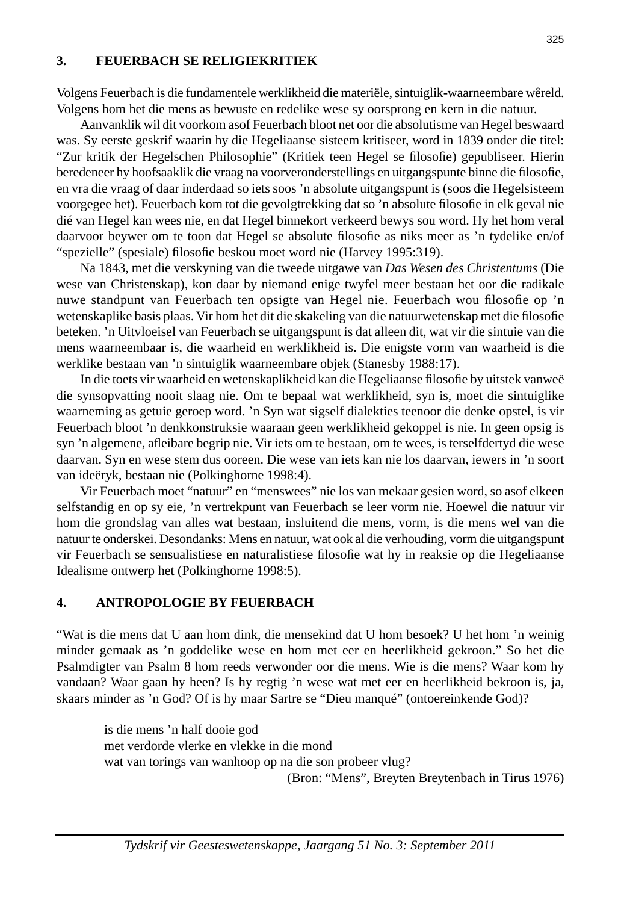#### **3. FEUERBACH SE RELIGIEKRITIEK**

Volgens Feuerbach is die fundamentele werklikheid die materiële, sintuiglik-waarneembare wêreld. Volgens hom het die mens as bewuste en redelike wese sy oorsprong en kern in die natuur.

 Aanvanklik wil dit voorkom asof Feuerbach bloot net oor die absolutisme van Hegel beswaard was. Sy eerste geskrif waarin hy die Hegeliaanse sisteem kritiseer, word in 1839 onder die titel: "Zur kritik der Hegelschen Philosophie" (Kritiek teen Hegel se filosofie) gepubliseer. Hierin beredeneer hy hoofsaaklik die vraag na voorveronderstellings en uitgangspunte binne die filosofie, en vra die vraag of daar inderdaad so iets soos 'n absolute uitgangspunt is (soos die Hegelsisteem voorgegee het). Feuerbach kom tot die gevolgtrekking dat so 'n absolute filosofie in elk geval nie dié van Hegel kan wees nie, en dat Hegel binnekort verkeerd bewys sou word. Hy het hom veral daarvoor beywer om te toon dat Hegel se absolute filosofie as niks meer as 'n tydelike en/of "spezielle" (spesiale) filosofie beskou moet word nie (Harvey 1995:319).

 Na 1843, met die verskyning van die tweede uitgawe van *Das Wesen des Christentums* (Die wese van Christenskap), kon daar by niemand enige twyfel meer bestaan het oor die radikale nuwe standpunt van Feuerbach ten opsigte van Hegel nie. Feuerbach wou filosofie op 'n wetenskaplike basis plaas. Vir hom het dit die skakeling van die natuurwetenskap met die filosofie beteken. 'n Uitvloeisel van Feuerbach se uitgangspunt is dat alleen dit, wat vir die sintuie van die mens waarneembaar is, die waarheid en werklikheid is. Die enigste vorm van waarheid is die werklike bestaan van 'n sintuiglik waarneembare objek (Stanesby 1988:17).

In die toets vir waarheid en wetenskaplikheid kan die Hegeliaanse filosofie by uitstek vanweë die synsopvatting nooit slaag nie. Om te bepaal wat werklikheid, syn is, moet die sintuiglike waarneming as getuie geroep word. 'n Syn wat sigself dialekties teenoor die denke opstel, is vir Feuerbach bloot 'n denkkonstruksie waaraan geen werklikheid gekoppel is nie. In geen opsig is syn 'n algemene, afleibare begrip nie. Vir iets om te bestaan, om te wees, is terselfdertyd die wese daarvan. Syn en wese stem dus ooreen. Die wese van iets kan nie los daarvan, iewers in 'n soort van ideëryk, bestaan nie (Polkinghorne 1998:4).

 Vir Feuerbach moet "natuur" en "menswees" nie los van mekaar gesien word, so asof elkeen selfstandig en op sy eie, 'n vertrekpunt van Feuerbach se leer vorm nie. Hoewel die natuur vir hom die grondslag van alles wat bestaan, insluitend die mens, vorm, is die mens wel van die natuur te onderskei. Desondanks: Mens en natuur, wat ook al die verhouding, vorm die uitgangspunt vir Feuerbach se sensualistiese en naturalistiese filosofie wat hy in reaksie op die Hegeliaanse Idealisme ontwerp het (Polkinghorne 1998:5).

#### **4. ANTROPOLOGIE BY FEUERBACH**

"Wat is die mens dat U aan hom dink, die mensekind dat U hom besoek? U het hom 'n weinig minder gemaak as 'n goddelike wese en hom met eer en heerlikheid gekroon." So het die Psalmdigter van Psalm 8 hom reeds verwonder oor die mens. Wie is die mens? Waar kom hy vandaan? Waar gaan hy heen? Is hy regtig 'n wese wat met eer en heerlikheid bekroon is, ja, skaars minder as 'n God? Of is hy maar Sartre se "Dieu manqué" (ontoereinkende God)?

 is die mens 'n half dooie god met verdorde vlerke en vlekke in die mond wat van torings van wanhoop op na die son probeer vlug? (Bron: "Mens", Breyten Breytenbach in Tirus 1976)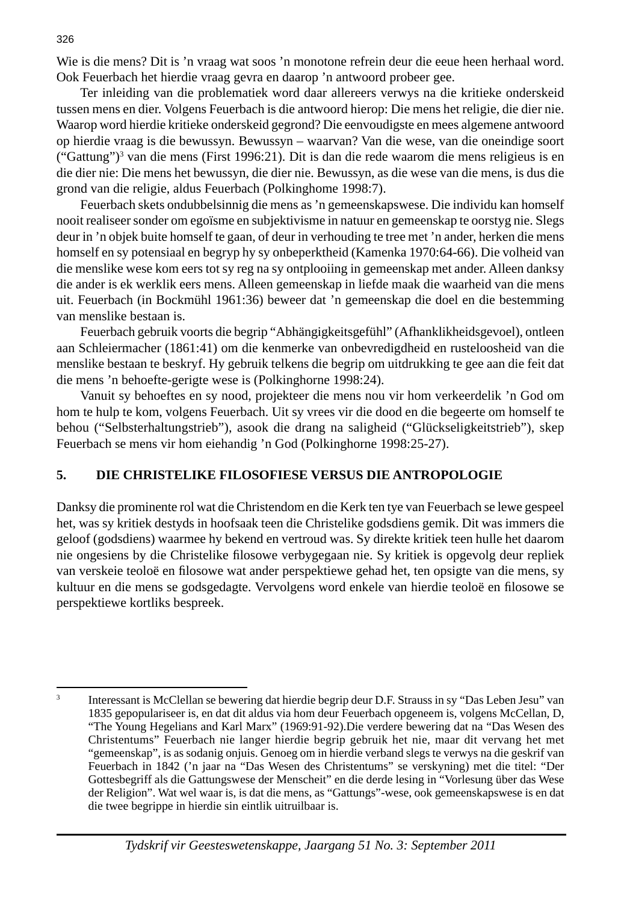Wie is die mens? Dit is 'n vraag wat soos 'n monotone refrein deur die eeue heen herhaal word. Ook Feuerbach het hierdie vraag gevra en daarop 'n antwoord probeer gee.

 Ter inleiding van die problematiek word daar allereers verwys na die kritieke onderskeid tussen mens en dier. Volgens Feuerbach is die antwoord hierop: Die mens het religie, die dier nie. Waarop word hierdie kritieke onderskeid gegrond? Die eenvoudigste en mees algemene antwoord op hierdie vraag is die bewussyn. Bewussyn – waarvan? Van die wese, van die oneindige soort ("Gattung")3 van die mens (First 1996:21). Dit is dan die rede waarom die mens religieus is en die dier nie: Die mens het bewussyn, die dier nie. Bewussyn, as die wese van die mens, is dus die grond van die religie, aldus Feuerbach (Polkinghome 1998:7).

 Feuerbach skets ondubbelsinnig die mens as 'n gemeenskapswese. Die individu kan homself nooit realiseer sonder om egoïsme en subjektivisme in natuur en gemeenskap te oorstyg nie. Slegs deur in 'n objek buite homself te gaan, of deur in verhouding te tree met 'n ander, herken die mens homself en sy potensiaal en begryp hy sy onbeperktheid (Kamenka 1970:64-66). Die volheid van die menslike wese kom eers tot sy reg na sy ontplooiing in gemeenskap met ander. Alleen danksy die ander is ek werklik eers mens. Alleen gemeenskap in liefde maak die waarheid van die mens uit. Feuerbach (in Bockmühl 1961:36) beweer dat 'n gemeenskap die doel en die bestemming van menslike bestaan is.

 Feuerbach gebruik voorts die begrip "Abhängigkeitsgefühl" (Afhanklikheidsgevoel), ontleen aan Schleiermacher (1861:41) om die kenmerke van onbevredigdheid en rusteloosheid van die menslike bestaan te beskryf. Hy gebruik telkens die begrip om uitdrukking te gee aan die feit dat die mens 'n behoefte-gerigte wese is (Polkinghorne 1998:24).

 Vanuit sy behoeftes en sy nood, projekteer die mens nou vir hom verkeerdelik 'n God om hom te hulp te kom, volgens Feuerbach. Uit sy vrees vir die dood en die begeerte om homself te behou ("Selbsterhaltungstrieb"), asook die drang na saligheid ("Glückseligkeitstrieb"), skep Feuerbach se mens vir hom eiehandig 'n God (Polkinghorne 1998:25-27).

### **5. DIE CHRISTELIKE FILOSOFIESE VERSUS DIE ANTROPOLOGIE**

Danksy die prominente rol wat die Christendom en die Kerk ten tye van Feuerbach se lewe gespeel het, was sy kritiek destyds in hoofsaak teen die Christelike godsdiens gemik. Dit was immers die geloof (godsdiens) waarmee hy bekend en vertroud was. Sy direkte kritiek teen hulle het daarom nie ongesiens by die Christelike filosowe verbygegaan nie. Sy kritiek is opgevolg deur repliek van verskeie teoloë en filosowe wat ander perspektiewe gehad het, ten opsigte van die mens, sy kultuur en die mens se godsgedagte. Vervolgens word enkele van hierdie teoloë en filosowe se perspektiewe kortliks bespreek.

<sup>3</sup> Interessant is McClellan se bewering dat hierdie begrip deur D.F. Strauss in sy "Das Leben Jesu" van 1835 gepopulariseer is, en dat dit aldus via hom deur Feuerbach opgeneem is, volgens McCellan, D, "The Young Hegelians and Karl Marx" (1969:91-92).Die verdere bewering dat na "Das Wesen des Christentums" Feuerbach nie langer hierdie begrip gebruik het nie, maar dit vervang het met "gemeenskap", is as sodanig onjuis. Genoeg om in hierdie verband slegs te verwys na die geskrif van Feuerbach in 1842 ('n jaar na "Das Wesen des Christentums" se verskyning) met die titel: "Der Gottesbegriff als die Gattungswese der Menscheit" en die derde lesing in "Vorlesung über das Wese der Religion". Wat wel waar is, is dat die mens, as "Gattungs"-wese, ook gemeenskapswese is en dat die twee begrippe in hierdie sin eintlik uitruilbaar is.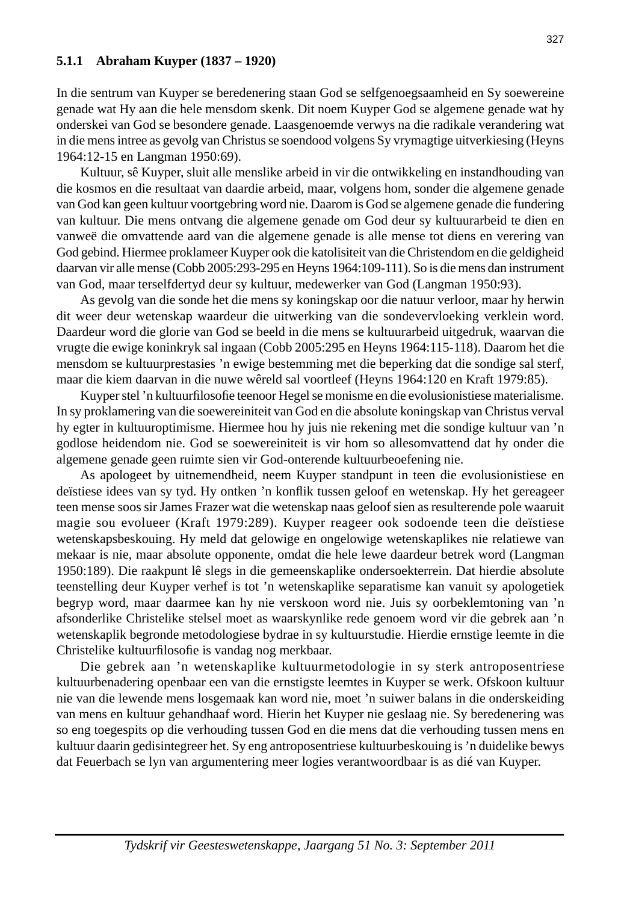#### **5.1.1 Abraham Kuyper (1837 – 1920)**

In die sentrum van Kuyper se beredenering staan God se selfgenoegsaamheid en Sy soewereine genade wat Hy aan die hele mensdom skenk. Dit noem Kuyper God se algemene genade wat hy onderskei van God se besondere genade. Laasgenoemde verwys na die radikale verandering wat in die mens intree as gevolg van Christus se soendood volgens Sy vrymagtige uitverkiesing (Heyns 1964:12-15 en Langman 1950:69).

 Kultuur, sê Kuyper, sluit alle menslike arbeid in vir die ontwikkeling en instandhouding van die kosmos en die resultaat van daardie arbeid, maar, volgens hom, sonder die algemene genade van God kan geen kultuur voortgebring word nie. Daarom is God se algemene genade die fundering van kultuur. Die mens ontvang die algemene genade om God deur sy kultuurarbeid te dien en vanweë die omvattende aard van die algemene genade is alle mense tot diens en verering van God gebind. Hiermee proklameer Kuyper ook die katolisiteit van die Christendom en die geldigheid daarvan vir alle mense (Cobb 2005:293-295 en Heyns 1964:109-111). So is die mens dan instrument van God, maar terselfdertyd deur sy kultuur, medewerker van God (Langman 1950:93).

 As gevolg van die sonde het die mens sy koningskap oor die natuur verloor, maar hy herwin dit weer deur wetenskap waardeur die uitwerking van die sondevervloeking verklein word. Daardeur word die glorie van God se beeld in die mens se kultuurarbeid uitgedruk, waarvan die vrugte die ewige koninkryk sal ingaan (Cobb 2005:295 en Heyns 1964:115-118). Daarom het die mensdom se kultuurprestasies 'n ewige bestemming met die beperking dat die sondige sal sterf, maar die kiem daarvan in die nuwe wêreld sal voortleef (Heyns 1964:120 en Kraft 1979:85).

Kuyper stel 'n kultuurfilosofie teenoor Hegel se monisme en die evolusionistiese materialisme. In sy proklamering van die soewereiniteit van God en die absolute koningskap van Christus verval hy egter in kultuuroptimisme. Hiermee hou hy juis nie rekening met die sondige kultuur van 'n godlose heidendom nie. God se soewereiniteit is vir hom so allesomvattend dat hy onder die algemene genade geen ruimte sien vir God-onterende kultuurbeoefening nie.

 As apologeet by uitnemendheid, neem Kuyper standpunt in teen die evolusionistiese en deïstiese idees van sy tyd. Hy ontken 'n konflik tussen geloof en wetenskap. Hy het gereageer teen mense soos sir James Frazer wat die wetenskap naas geloof sien as resulterende pole waaruit magie sou evolueer (Kraft 1979:289). Kuyper reageer ook sodoende teen die deïstiese wetenskapsbeskouing. Hy meld dat gelowige en ongelowige wetenskaplikes nie relatiewe van mekaar is nie, maar absolute opponente, omdat die hele lewe daardeur betrek word (Langman 1950:189). Die raakpunt lê slegs in die gemeenskaplike ondersoekterrein. Dat hierdie absolute teenstelling deur Kuyper verhef is tot 'n wetenskaplike separatisme kan vanuit sy apologetiek begryp word, maar daarmee kan hy nie verskoon word nie. Juis sy oorbeklemtoning van 'n afsonderlike Christelike stelsel moet as waarskynlike rede genoem word vir die gebrek aan 'n wetenskaplik begronde metodologiese bydrae in sy kultuurstudie. Hierdie ernstige leemte in die Christelike kultuurfilosofie is vandag nog merkbaar.

 Die gebrek aan 'n wetenskaplike kultuurmetodologie in sy sterk antroposentriese kultuurbenadering openbaar een van die ernstigste leemtes in Kuyper se werk. Ofskoon kultuur nie van die lewende mens losgemaak kan word nie, moet 'n suiwer balans in die onderskeiding van mens en kultuur gehandhaaf word. Hierin het Kuyper nie geslaag nie. Sy beredenering was so eng toegespits op die verhouding tussen God en die mens dat die verhouding tussen mens en kultuur daarin gedisintegreer het. Sy eng antroposentriese kultuurbeskouing is 'n duidelike bewys dat Feuerbach se lyn van argumentering meer logies verantwoordbaar is as dié van Kuyper.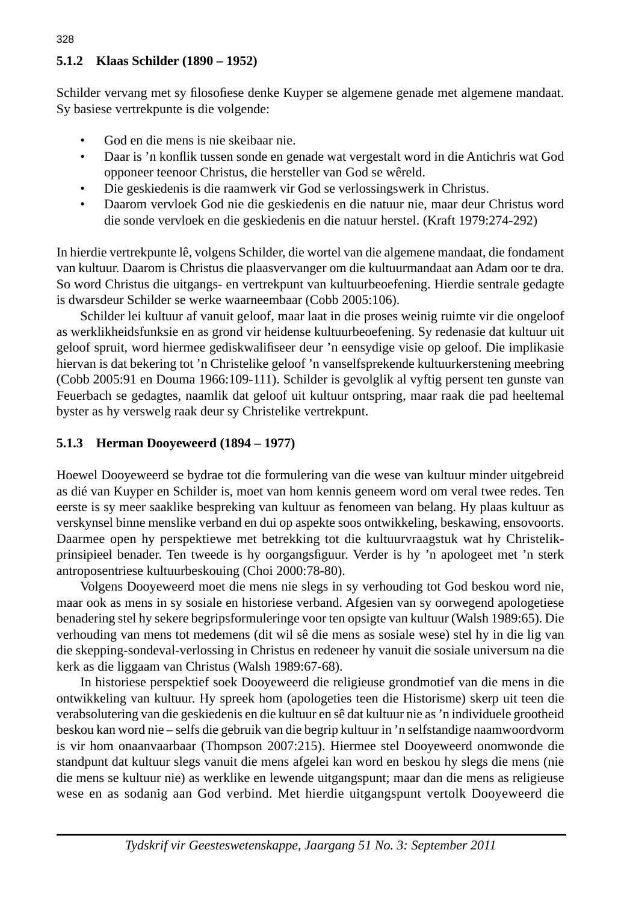## **5.1.2 Klaas Schilder (1890 – 1952)**

Schilder vervang met sy filosofiese denke Kuyper se algemene genade met algemene mandaat. Sy basiese vertrekpunte is die volgende:

- God en die mens is nie skeibaar nie.
- Daar is 'n konflik tussen sonde en genade wat vergestalt word in die Antichris wat God opponeer teenoor Christus, die hersteller van God se wêreld.
- Die geskiedenis is die raamwerk vir God se verlossingswerk in Christus.
- Daarom vervloek God nie die geskiedenis en die natuur nie, maar deur Christus word die sonde vervloek en die geskiedenis en die natuur herstel. (Kraft 1979:274-292)

In hierdie vertrekpunte lê, volgens Schilder, die wortel van die algemene mandaat, die fondament van kultuur. Daarom is Christus die plaasvervanger om die kultuurmandaat aan Adam oor te dra. So word Christus die uitgangs- en vertrekpunt van kultuurbeoefening. Hierdie sentrale gedagte is dwarsdeur Schilder se werke waarneembaar (Cobb 2005:106).

 Schilder lei kultuur af vanuit geloof, maar laat in die proses weinig ruimte vir die ongeloof as werklikheidsfunksie en as grond vir heidense kultuurbeoefening. Sy redenasie dat kultuur uit geloof spruit, word hiermee gediskwalifiseer deur 'n eensydige visie op geloof. Die implikasie hiervan is dat bekering tot 'n Christelike geloof 'n vanselfsprekende kultuurkerstening meebring (Cobb 2005:91 en Douma 1966:109-111). Schilder is gevolglik al vyftig persent ten gunste van Feuerbach se gedagtes, naamlik dat geloof uit kultuur ontspring, maar raak die pad heeltemal byster as hy verswelg raak deur sy Christelike vertrekpunt.

## **5.1.3 Herman Dooyeweerd (1894 – 1977)**

Hoewel Dooyeweerd se bydrae tot die formulering van die wese van kultuur minder uitgebreid as dié van Kuyper en Schilder is, moet van hom kennis geneem word om veral twee redes. Ten eerste is sy meer saaklike bespreking van kultuur as fenomeen van belang. Hy plaas kultuur as verskynsel binne menslike verband en dui op aspekte soos ontwikkeling, beskawing, ensovoorts. Daarmee open hy perspektiewe met betrekking tot die kultuurvraagstuk wat hy Christelikprinsipieel benader. Ten tweede is hy oorgangsfiguur. Verder is hy 'n apologeet met 'n sterk antroposentriese kultuurbeskouing (Choi 2000:78-80).

 Volgens Dooyeweerd moet die mens nie slegs in sy verhouding tot God beskou word nie, maar ook as mens in sy sosiale en historiese verband. Afgesien van sy oorwegend apologetiese benadering stel hy sekere begripsformuleringe voor ten opsigte van kultuur (Walsh 1989:65). Die verhouding van mens tot medemens (dit wil sê die mens as sosiale wese) stel hy in die lig van die skepping-sondeval-verlossing in Christus en redeneer hy vanuit die sosiale universum na die kerk as die liggaam van Christus (Walsh 1989:67-68).

 In historiese perspektief soek Dooyeweerd die religieuse grondmotief van die mens in die ontwikkeling van kultuur. Hy spreek hom (apologeties teen die Historisme) skerp uit teen die verabsolutering van die geskiedenis en die kultuur en sê dat kultuur nie as 'n individuele grootheid beskou kan word nie – selfs die gebruik van die begrip kultuur in 'n selfstandige naamwoordvorm is vir hom onaanvaarbaar (Thompson 2007:215). Hiermee stel Dooyeweerd onomwonde die standpunt dat kultuur slegs vanuit die mens afgelei kan word en beskou hy slegs die mens (nie die mens se kultuur nie) as werklike en lewende uitgangspunt; maar dan die mens as religieuse wese en as sodanig aan God verbind. Met hierdie uitgangspunt vertolk Dooyeweerd die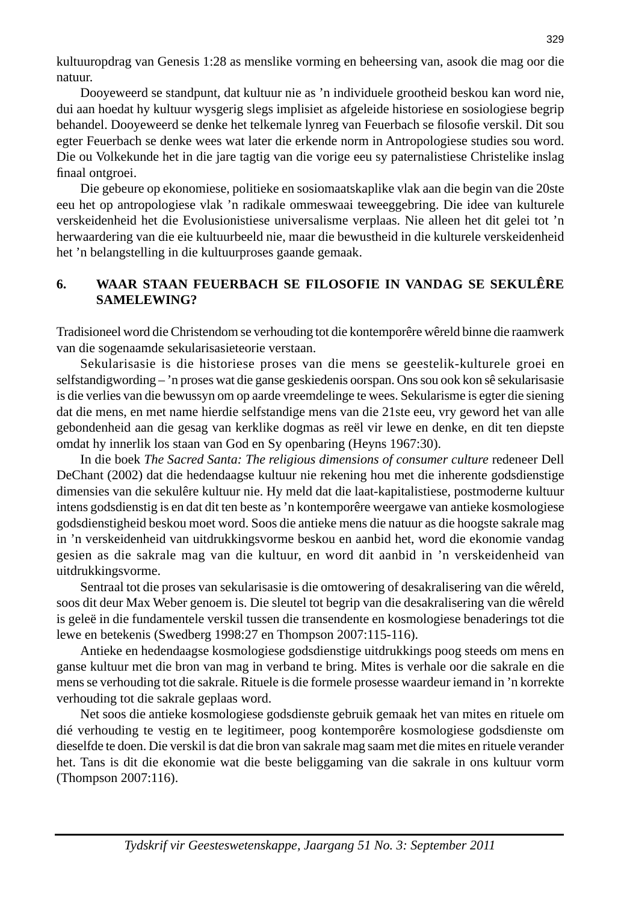kultuuropdrag van Genesis 1:28 as menslike vorming en beheersing van, asook die mag oor die natuur.

 Dooyeweerd se standpunt, dat kultuur nie as 'n individuele grootheid beskou kan word nie, dui aan hoedat hy kultuur wysgerig slegs implisiet as afgeleide historiese en sosiologiese begrip behandel. Dooyeweerd se denke het telkemale lynreg van Feuerbach se filosofie verskil. Dit sou egter Feuerbach se denke wees wat later die erkende norm in Antropologiese studies sou word. Die ou Volkekunde het in die jare tagtig van die vorige eeu sy paternalistiese Christelike inslag finaal ontgroei.

 Die gebeure op ekonomiese, politieke en sosiomaatskaplike vlak aan die begin van die 20ste eeu het op antropologiese vlak 'n radikale ommeswaai teweeggebring. Die idee van kulturele verskeidenheid het die Evolusionistiese universalisme verplaas. Nie alleen het dit gelei tot 'n herwaardering van die eie kultuurbeeld nie, maar die bewustheid in die kulturele verskeidenheid het 'n belangstelling in die kultuurproses gaande gemaak.

## **6. WAAR STAAN FEUERBACH SE FILOSOFIE IN VANDAG SE SEKULÊRE SAMELEWING?**

Tradisioneel word die Christendom se verhouding tot die kontemporêre wêreld binne die raamwerk van die sogenaamde sekularisasieteorie verstaan.

 Sekularisasie is die historiese proses van die mens se geestelik-kulturele groei en selfstandigwording – 'n proses wat die ganse geskiedenis oorspan. Ons sou ook kon sê sekularisasie is die verlies van die bewussyn om op aarde vreemdelinge te wees. Sekularisme is egter die siening dat die mens, en met name hierdie selfstandige mens van die 21ste eeu, vry geword het van alle gebondenheid aan die gesag van kerklike dogmas as reël vir lewe en denke, en dit ten diepste omdat hy innerlik los staan van God en Sy openbaring (Heyns 1967:30).

 In die boek *The Sacred Santa: The religious dimensions of consumer culture* redeneer Dell DeChant (2002) dat die hedendaagse kultuur nie rekening hou met die inherente godsdienstige dimensies van die sekulêre kultuur nie. Hy meld dat die laat-kapitalistiese, postmoderne kultuur intens godsdienstig is en dat dit ten beste as 'n kontemporêre weergawe van antieke kosmologiese godsdienstigheid beskou moet word. Soos die antieke mens die natuur as die hoogste sakrale mag in 'n verskeidenheid van uitdrukkingsvorme beskou en aanbid het, word die ekonomie vandag gesien as die sakrale mag van die kultuur, en word dit aanbid in 'n verskeidenheid van uitdrukkingsvorme.

 Sentraal tot die proses van sekularisasie is die omtowering of desakralisering van die wêreld, soos dit deur Max Weber genoem is. Die sleutel tot begrip van die desakralisering van die wêreld is geleë in die fundamentele verskil tussen die transendente en kosmologiese benaderings tot die lewe en betekenis (Swedberg 1998:27 en Thompson 2007:115-116).

 Antieke en hedendaagse kosmologiese godsdienstige uitdrukkings poog steeds om mens en ganse kultuur met die bron van mag in verband te bring. Mites is verhale oor die sakrale en die mens se verhouding tot die sakrale. Rituele is die formele prosesse waardeur iemand in 'n korrekte verhouding tot die sakrale geplaas word.

 Net soos die antieke kosmologiese godsdienste gebruik gemaak het van mites en rituele om dié verhouding te vestig en te legitimeer, poog kontemporêre kosmologiese godsdienste om dieselfde te doen. Die verskil is dat die bron van sakrale mag saam met die mites en rituele verander het. Tans is dit die ekonomie wat die beste beliggaming van die sakrale in ons kultuur vorm (Thompson 2007:116).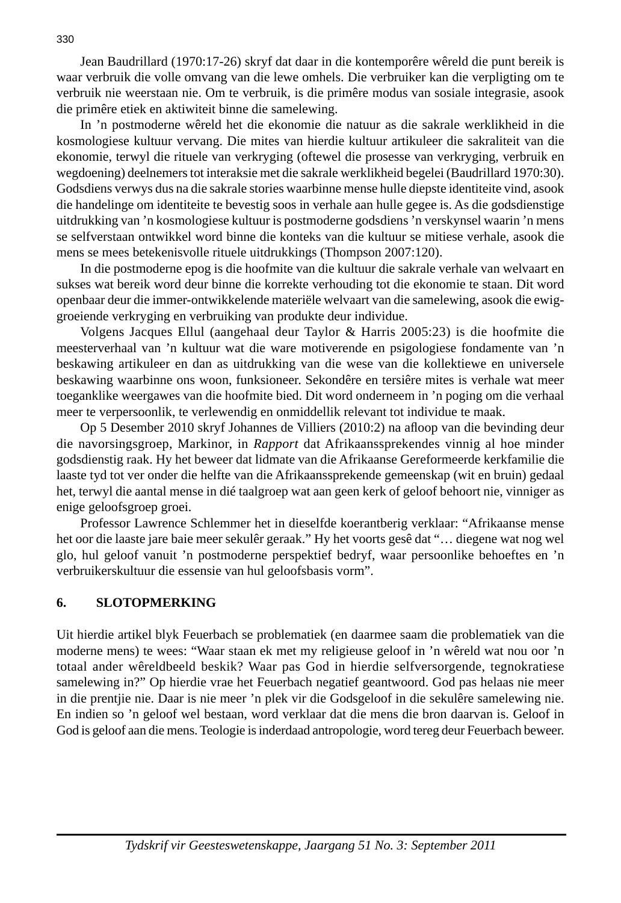Jean Baudrillard (1970:17-26) skryf dat daar in die kontemporêre wêreld die punt bereik is waar verbruik die volle omvang van die lewe omhels. Die verbruiker kan die verpligting om te verbruik nie weerstaan nie. Om te verbruik, is die primêre modus van sosiale integrasie, asook die primêre etiek en aktiwiteit binne die samelewing.

 In 'n postmoderne wêreld het die ekonomie die natuur as die sakrale werklikheid in die kosmologiese kultuur vervang. Die mites van hierdie kultuur artikuleer die sakraliteit van die ekonomie, terwyl die rituele van verkryging (oftewel die prosesse van verkryging, verbruik en wegdoening) deelnemers tot interaksie met die sakrale werklikheid begelei (Baudrillard 1970:30). Godsdiens verwys dus na die sakrale stories waarbinne mense hulle diepste identiteite vind, asook die handelinge om identiteite te bevestig soos in verhale aan hulle gegee is. As die godsdienstige uitdrukking van 'n kosmologiese kultuur is postmoderne godsdiens 'n verskynsel waarin 'n mens se selfverstaan ontwikkel word binne die konteks van die kultuur se mitiese verhale, asook die mens se mees betekenisvolle rituele uitdrukkings (Thompson 2007:120).

 In die postmoderne epog is die hoofmite van die kultuur die sakrale verhale van welvaart en sukses wat bereik word deur binne die korrekte verhouding tot die ekonomie te staan. Dit word openbaar deur die immer-ontwikkelende materiële welvaart van die samelewing, asook die ewiggroeiende verkryging en verbruiking van produkte deur individue.

 Volgens Jacques Ellul (aangehaal deur Taylor & Harris 2005:23) is die hoofmite die meesterverhaal van 'n kultuur wat die ware motiverende en psigologiese fondamente van 'n beskawing artikuleer en dan as uitdrukking van die wese van die kollektiewe en universele beskawing waarbinne ons woon, funksioneer. Sekondêre en tersiêre mites is verhale wat meer toeganklike weergawes van die hoofmite bied. Dit word onderneem in 'n poging om die verhaal meer te verpersoonlik, te verlewendig en onmiddellik relevant tot individue te maak.

 Op 5 Desember 2010 skryf Johannes de Villiers (2010:2) na afl oop van die bevinding deur die navorsingsgroep, Markinor, in *Rapport* dat Afrikaanssprekendes vinnig al hoe minder godsdienstig raak. Hy het beweer dat lidmate van die Afrikaanse Gereformeerde kerkfamilie die laaste tyd tot ver onder die helfte van die Afrikaanssprekende gemeenskap (wit en bruin) gedaal het, terwyl die aantal mense in dié taalgroep wat aan geen kerk of geloof behoort nie, vinniger as enige geloofsgroep groei.

 Professor Lawrence Schlemmer het in dieselfde koerantberig verklaar: "Afrikaanse mense het oor die laaste jare baie meer sekulêr geraak." Hy het voorts gesê dat "… diegene wat nog wel glo, hul geloof vanuit 'n postmoderne perspektief bedryf, waar persoonlike behoeftes en 'n verbruikerskultuur die essensie van hul geloofsbasis vorm".

## **6. SLOTOPMERKING**

Uit hierdie artikel blyk Feuerbach se problematiek (en daarmee saam die problematiek van die moderne mens) te wees: "Waar staan ek met my religieuse geloof in 'n wêreld wat nou oor 'n totaal ander wêreldbeeld beskik? Waar pas God in hierdie selfversorgende, tegnokratiese samelewing in?" Op hierdie vrae het Feuerbach negatief geantwoord. God pas helaas nie meer in die prentjie nie. Daar is nie meer 'n plek vir die Godsgeloof in die sekulêre samelewing nie. En indien so 'n geloof wel bestaan, word verklaar dat die mens die bron daarvan is. Geloof in God is geloof aan die mens. Teologie is inderdaad antropologie, word tereg deur Feuerbach beweer.